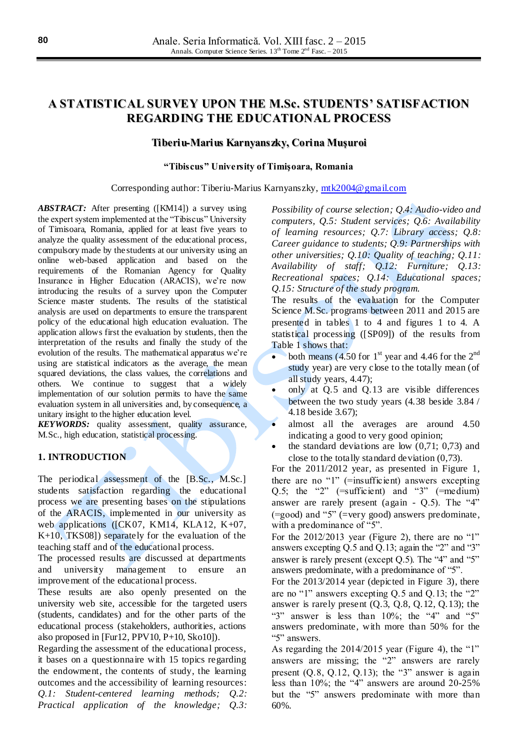# **A STATISTICAL SURVEY UPON THE M.Sc. STUDENTS' SATISFACTION REGARDING THE EDUCATIONAL PROCESS**

## **Tiberiu-Marius Karnyanszky, Corina Muşuroi**

#### **"Tibiscus" University of Timişoara, Romania**

#### Corresponding author: Tiberiu-Marius Karnyanszky, [mtk2004@gmail.com](mailto:mtk2004@gmail.com)

*ABSTRACT:* After presenting ([KM14]) a survey using the expert system implemented at the "Tibiscus" University of Timisoara, Romania, applied for at least five years to analyze the quality assessment of the educational process, compulsory made by the students at our university using an online web-based application and based on the requirements of the Romanian Agency for Quality Insurance in Higher Education (ARACIS), we're now introducing the results of a survey upon the Computer Science master students. The results of the statistical analysis are used on departments to ensure the transparent policy of the educational high education evaluation. The application allows first the evaluation by students, then the interpretation of the results and finally the study of the evolution of the results. The mathematical apparatus we're using are statistical indicators as the average, the mean squared deviations, the class values, the correlations and others. We continue to suggest that a widely implementation of our solution permits to have the same evaluation system in all universities and, by consequence, a unitary insight to the higher education level.

*KEYWORDS:* quality assessment, quality assurance, M.Sc., high education, statistical processing.

## **1. INTRODUCTION**

The periodical assessment of the [B.Sc., M.Sc.] students satisfaction regarding the educational process we are presenting bases on the stipulations of the ARACIS, implemented in our university as web applications ([CK07, KM14, KLA12, K+07, K+10, TKS08]) separately for the evaluation of the teaching staff and of the educational process.

The processed results are discussed at departments and university management to ensure improvement of the educational process.

These results are also openly presented on the university web site, accessible for the targeted users (students, candidates) and for the other parts of the educational process (stakeholders, authorities, actions also proposed in [Fur12, PPV10, P+10, Sko10]).

Regarding the assessment of the educational process, it bases on a questionnaire with 15 topics regarding the endowment, the contents of study, the learning outcomes and the accessibility of learning resources: *Q.1: Student-centered learning methods; Q.2: Practical application of the knowledge; Q.3:* *Possibility of course selection; Q.4: Audio-video and computers, Q.5: Student services; Q.6: Availability of learning resources; Q.7: Library access; Q.8: Career guidance to students; Q.9: Partnerships with other universities; Q.10: Quality of teaching; Q.11: Availability of staff; Q.12: Furniture; Q.13: Recreational spaces; Q.14: Educational spaces; Q.15: Structure of the study program.*

The results of the evaluation for the Computer Science M.Sc. programs between 2011 and 2015 are presented in tables 1 to 4 and figures 1 to 4. A statistical processing ([SP09]) of the results from Table 1 shows that:

- both means (4.50 for  $1<sup>st</sup>$  year and 4.46 for the  $2<sup>nd</sup>$ study year) are very close to the totally mean (of all study years, 4.47);
- only at Q.5 and Q.13 are visible differences between the two study years (4.38 beside 3.84 / 4.18 beside 3.67);
- almost all the averages are around 4.50 indicating a good to very good opinion;
- $\bullet$  the standard deviations are low (0,71; 0,73) and close to the totally standard deviation (0,73).

For the 2011/2012 year, as presented in Figure 1, there are no "1" (=insufficient) answers excepting Q.5; the "2"  $(=\text{suffixient})$  and "3"  $(=\text{medium})$ answer are rarely present (again - Q.5). The "4" (=good) and "5" (=very good) answers predominate, with a predominance of "5".

For the 2012/2013 year (Figure 2), there are no "1" answers excepting Q.5 and Q.13; again the "2" and "3" answer is rarely present (except Q.5). The "4" and "5" answers predominate, with a predominance of "5".

For the 2013/2014 year (depicted in Figure 3), there are no "1" answers excepting Q.5 and Q.13; the "2" answer is rarely present (Q.3, Q.8, Q.12, Q.13); the "3" answer is less than 10%; the "4" and "5" answers predominate, with more than 50% for the "5" answers.

As regarding the 2014/2015 year (Figure 4), the "1" answers are missing; the "2" answers are rarely present  $(0.8, 0.12, 0.13)$ ; the "3" answer is again less than 10%; the "4" answers are around 20-25% but the "5" answers predominate with more than 60%.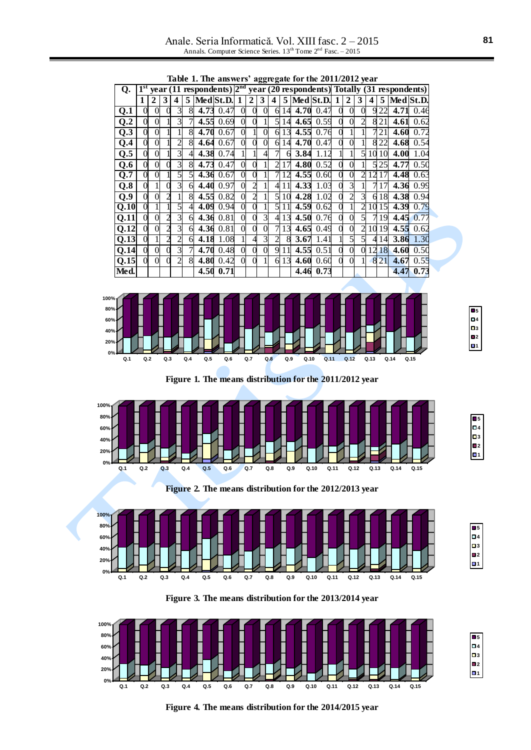Anale. Seria Informatică. Vol. XIII fasc. 2 – 2015 Annals. Computer Science Series. 13<sup>th</sup> Tome 2<sup>nd</sup> Fasc. - 2015

|                  | Table 1. The answers' aggregate for the 2011/2012 year |             |   |   |                |      |           |          |   |   |                |    |      |                                                                                  |   |              |                |    |       |           |      |
|------------------|--------------------------------------------------------|-------------|---|---|----------------|------|-----------|----------|---|---|----------------|----|------|----------------------------------------------------------------------------------|---|--------------|----------------|----|-------|-----------|------|
| Q <sub>r</sub>   |                                                        |             |   |   |                |      |           |          |   |   |                |    |      | year $(11$ respondents) $2nd$ year $(20$ respondents) Totally $(31$ respondents) |   |              |                |    |       |           |      |
|                  | 1                                                      | $\mathbf 2$ | 3 | 4 | 5              |      | Med St.D. |          | 2 | 3 | 4              |    |      | $5$ Med St.D.                                                                    | 1 | $\mathbf{2}$ | 3              | 4  | 5     | Med St.D. |      |
| $Q.\overline{1}$ |                                                        | $\Omega$    |   | 3 | 8              | 4.73 | 0.47      | $\Omega$ | 0 | 0 | 6              | 14 | 4.70 | 0.47                                                                             | 0 | 0            | $\theta$       |    | 9 2 2 | 4.71      | 0.46 |
| Q.2              |                                                        | $\Omega$    |   |   | 7              | 4.55 | 0.69      | 0        |   |   | 5              | 14 | 4.65 | 0.59                                                                             | 0 |              | $\overline{2}$ |    | 821   | 4.61      | 0.62 |
| Q.3              |                                                        | 0           |   |   | 8              | 4.70 | 0.67      | $\Omega$ |   | 0 | 6              | 13 | 4.55 | 0.76                                                                             |   |              |                |    | 21    | 4.60      | 0.72 |
| Q.4              |                                                        | $\Omega$    |   |   | 8              | 4.64 | 0.67      | 0        |   | 0 | 6              | 14 | 4.70 | 0.47                                                                             | 0 |              |                |    | 822   | 4.68      | 0.54 |
| Q.5              |                                                        | 0           |   |   | $\overline{4}$ | 4.38 | 0.74      |          |   |   | 7              |    | 3.84 | 1.12                                                                             |   |              | 5              | 10 | 10    | 4.00      | 1.04 |
| Q.6              |                                                        | $\theta$    |   |   | 8              | 4.73 | 0.47      | 0        |   |   | 2              |    | 4.80 | 0.52                                                                             |   |              |                |    | 25    | 4.77      | 0.50 |
| Q.7              |                                                        | $\Omega$    |   |   | 5              | 4.36 | 0.67      | 0        |   |   |                |    | 4.55 | 0.60                                                                             | 0 |              | $\mathfrak{D}$ | 12 |       | 4.48      | 0.63 |
| Q.8              |                                                        |             |   | 3 | 6              | 4.40 | 0.97      | $\Omega$ |   |   | 4              | 11 | 4.33 | 1.03                                                                             |   | 3            |                |    |       | 4.36      | 0.99 |
| Q.9              |                                                        | 0           |   |   | 8              | 4.55 | 0.82      | $\Omega$ |   |   | 5              | 10 | 4.28 | 1.02                                                                             |   |              | 3              | 6  | 18    | 4.38      | 0.94 |
| Q.10             |                                                        |             |   |   | $\overline{4}$ | 4.09 | 0.94      | 0        |   |   | 5              | 11 | 4.59 | 0.62                                                                             |   |              | 2              | 10 | 15    | 4.39      | 0.79 |
| 0.11             |                                                        | $\Omega$    |   |   | 6              | 4.36 | 0.81      | $\theta$ |   | 3 | $\overline{4}$ | 13 | 4.50 | 0.76                                                                             |   |              | 5              |    | 19    | 4.45      | 0.77 |
| Q.12             |                                                        | $\Omega$    |   |   | 6              | 4.36 | 0.81      | 0        |   |   |                | 13 | 4.65 | 0.49                                                                             |   |              | $\overline{2}$ | 10 | 19    | 4.55      | 0.62 |
| Q.13             |                                                        |             |   |   | 6              | 4.18 | 1.08      |          |   | 3 | $\overline{c}$ | 8  | 3.67 | 1.41                                                                             |   |              | 5              |    | 14    | 3.86      | 1.30 |
| Q.14             |                                                        | $\Omega$    |   |   | 7              | 4.70 | 0.48      | $\theta$ |   | 0 | 9              | 11 | 4.55 | 0.51                                                                             | 0 | 0            | $\Omega$       | 12 | 18    | 4.60      | 0.50 |
| 0.15             |                                                        | $\Omega$    |   |   | 8              | 4.80 | 0.42      | 0        |   |   | 6              | 13 | 4.60 | 0.60                                                                             |   | 0            |                |    | 821   | 4.67      | 0.55 |
| Med.             |                                                        |             |   |   |                | 4.50 | 0.71      |          |   |   |                |    | 4.46 | 0.73                                                                             |   |              |                |    |       | 4.47      | 0.73 |







**Figure 1. The means distribution for the 2011/2012 year**



**Figure 2. The means distribution for the 2012/2013 year**







**Figure 4. The means distribution for the 2014/2015 year**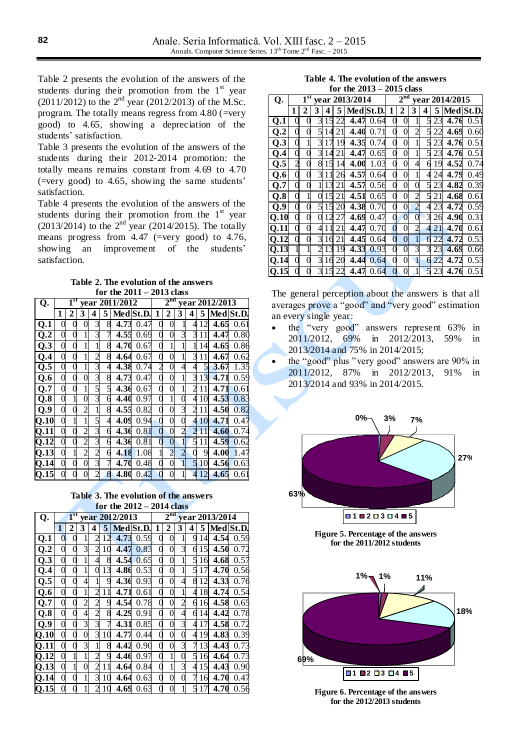Table 2 presents the evolution of the answers of the students during their promotion from the  $1<sup>st</sup>$  year (2011/2012) to the  $2<sup>nd</sup>$  year (2012/2013) of the M.Sc. program. The totally means regress from 4.80 (=very good) to 4.65, showing a depreciation of the students' satisfaction.

Table 3 presents the evolution of the answers of the students during their 2012-2014 promotion: the totally means remains constant from 4.69 to 4.70 (=very good) to 4.65, showing the same students' satisfaction.

Table 4 presents the evolution of the answers of the students during their promotion from the  $1<sup>st</sup>$  year (2013/2014) to the  $2<sup>nd</sup>$  year (2014/2015). The totally means progress from 4.47 (=very good) to 4.76, showing an improvement of the students' satisfaction.

**Table 2. The evolution of the answers for the 2011 – 2013 class**

| Q.                        |   | $\mathbf{l}^{\mathrm{st}}$ |                          |   |    | year 2011/2012 | 2 <sup>nd</sup><br>year 2012/2013 |                |                |                |                          |    |                   |           |
|---------------------------|---|----------------------------|--------------------------|---|----|----------------|-----------------------------------|----------------|----------------|----------------|--------------------------|----|-------------------|-----------|
|                           | 1 | 2                          | 3                        | 4 | 5. |                | Med St.D.                         | 1              | 2              | 3              | 4                        | 5  |                   | Med St.D. |
| Q.1                       |   |                            | 0                        | 3 | 8  | 4.73           | 0.47                              |                | 0              |                | 4                        | 12 | 4.65              | 0.61      |
| $\overline{\mathbf{Q.2}}$ |   |                            |                          | 3 |    | 4.55           | 0.69                              |                | 0              | 3              | 3                        |    | 4.47              | 0.80      |
| Q.3                       | 0 | 0                          |                          |   | 8  | 4.70           | 0.67                              |                | 1              |                |                          | 14 | 4.65              | 0.86      |
| Q.4                       |   | 0                          |                          |   | 8  | 4.64           | 0.67                              | 0              | 0              | 1              | 3                        | 11 | 4.67              | 0.62      |
| $\overline{Q.5}$          |   |                            |                          | 3 | 4  | 4.38           | 0.74                              | $\overline{2}$ | 0              | 4              | 4                        | 5  | $\overline{3.67}$ | 1.35      |
| Q.6                       | 0 | 0                          | 0                        | 3 | 8  | 4.73           | 0.47                              | 0              | 0              | 1              | 3                        | 13 | 4.71              | 0.59      |
| Q.7                       |   |                            |                          | 5 | 5  | 4.36           | 0.67                              | C              | 0              | 1              | $\overline{\mathcal{C}}$ | 11 | 4.71              | 0.61      |
| $Q.\overline{8}$          |   |                            | 0                        | 3 | 6  | 4.40           | 0.97                              |                |                |                | 4                        | 10 | 4.53              | 0.83      |
| Q.9                       |   |                            | $\overline{\mathcal{C}}$ |   | 8  | 4.55           | 0.82                              |                | 0              | 3              | 2                        | 11 | 4.50              | 0.82      |
| Q.10                      |   |                            |                          | 5 | 4  | 4.09           | 0.94                              | 0              | 0              |                | 4                        | 10 | 4.71              | 0.47      |
| $\overline{\text{Q}.11}$  |   |                            |                          | 3 | 6  | 4.36           | 0.81                              | $\left($       | $\overline{0}$ | $\overline{2}$ |                          | 11 | 4.60              | 0.74      |
| Q.12                      | 0 | 0                          | $\overline{2}$           | 3 | 6  | 4.36           | 0.81                              |                | 0              | 1              | 5                        | 11 | 4.59              | 0.62      |
| Q.13                      |   |                            |                          |   | 6  | 4.18           | 1.08                              |                | $\overline{2}$ | 2              |                          | 9  | 4.00              | 1.47      |
| $Q.\overline{14}$         |   | 0                          | 0                        | 3 |    | 4.70           | 0.48                              |                | 0              |                | 5                        | 10 | 4.56              | 0.63      |
| Q.15                      |   |                            |                          |   | 8  | 4.80           | 0.42                              |                | 0              |                |                          | 12 | 4.65              | 0.61      |

**Table 3. The evolution of the answers for the 2012 – 2014 class**

| Q.   |   | 1 <sup>st</sup> |                         |                |    | year 2012/2013 | $2^{\overline{\mathrm{nd}}}$<br>year 2013/2014 |          |   |                |   |    |      |           |
|------|---|-----------------|-------------------------|----------------|----|----------------|------------------------------------------------|----------|---|----------------|---|----|------|-----------|
|      | 1 | 2               | 3                       | 4              | 5  |                | Med St.D.                                      | 1        | 2 | 3              | 4 | 5  |      | Med St.D. |
|      |   |                 |                         |                |    |                |                                                |          |   |                |   |    |      |           |
| Q.1  | 0 | 0               |                         |                | 12 | 4.73           | 0.59                                           | 0        | 0 | 1              | 9 | 14 | 4.54 | 0.59      |
| Q.2  | 0 | 0               | 3                       | $\overline{2}$ | 10 | 4.47           | 0.83                                           | 0        | 0 | $\overline{3}$ | 6 | 15 | 4.50 | 0.72      |
| Q.3  | 0 | 0               |                         | 4              | 8  | 4.54           | 0.65                                           | 0        | 0 | 1              | 5 | 16 | 4.68 | 0.57      |
| Q.4  |   | 0               |                         | 0              | 13 | 4.86           | 0.53                                           |          | 0 | 1              | 5 | 17 | 4.70 | 0.56      |
| Q.5  |   | 0               | 4                       |                | 9  | 4.36           | 0.93                                           | 0        | 0 | 4              | 8 | 12 | 4.33 | 0.76      |
| Q.6  | 0 | 0               |                         |                | 11 | 4.71           | 0.61                                           | 0        | 0 | 1              | 4 | 18 | 4.74 | 0.54      |
| Q.7  |   | 0               | $\overline{c}$          |                | 9  | 4.54           | 0.78                                           | $\Omega$ | 0 | $\overline{2}$ | б | 16 | 4.58 | 0.65      |
| Q.8  | 0 | 0               | 4                       |                | 8  | 4.29           | 0.91                                           | 0        | 0 | $\overline{4}$ | б | 14 | 4.42 | 0.78      |
| Q.9  | 0 | 0               | $\overline{\mathbf{3}}$ | 3              |    | 4.31           | 0.85                                           | 0        | 0 | 3              | 4 | 17 | 4.58 | 0.72      |
| Q.10 | 0 | 0               | 0                       | 3              | 10 | 4.77           | 0.44                                           |          | 0 | 0              | 4 | 19 | 4.83 | 0.39      |
| Q.11 | 0 | 0               | 3                       |                | 8  | 4.42           | 0.90                                           | 0        | 0 | 3              |   | 13 | 4.43 | 0.73      |
| Q.12 | 0 |                 |                         |                | 9  | 4.46           | 0.97                                           | 0        | 1 | $\Omega$       | 5 | 16 | 4.64 | 0.73      |
| Q.13 | 0 |                 | $\Omega$                |                | 11 | 4.64           | 0.84                                           |          | 1 | 3              | 4 | 15 | 4.43 | 0.90      |
| Q.14 | 0 | 0               |                         | 3              | 10 | 4.64           | 0.63                                           | 0        | 0 | 0              |   | 16 | 4.70 | 0.47      |
| Q.15 |   |                 |                         |                |    | 4.69           | 0.63                                           |          | 0 |                |   |    | 4.70 | 0.56      |

**Table 4. The evolution of the answers** 

|                   |                  |   |                |    |    | for the $2013 - 2015$ class                 |                                   |                |                |                |   |                 |      |           |
|-------------------|------------------|---|----------------|----|----|---------------------------------------------|-----------------------------------|----------------|----------------|----------------|---|-----------------|------|-----------|
| Q.                |                  |   |                |    |    | $\overline{1}$ <sup>st</sup> year 2013/2014 | 2 <sup>nd</sup><br>year 2014/2015 |                |                |                |   |                 |      |           |
|                   | 1                | 2 | 3              | 4  |    | 5   Med St.D.                               |                                   | 1              | 2              | 3              | 4 | 5               |      | Med St.D. |
| Q.1               |                  |   | 3              | 15 | 22 | 4.47                                        | 0.64                              |                | 0              |                | 5 | 23              | 4.76 | 0.51      |
| Q.2               | 0                | 0 | 5              | 14 | 21 | 4.40                                        | 0.71                              | 0              | 0              |                | 5 | 22              | 4.69 | 0.60      |
| Q.3               |                  |   | 3              | 17 | 19 | 4.35                                        | 0.74                              |                | 0              | 1              | 5 | 23              | 4.76 | 0.51      |
| Q.4               |                  | 0 | 3              | 14 | 21 | 4.47                                        | 0.65                              |                | 0              | 1              | 5 | $2\overline{3}$ | 4.76 | 0.51      |
| Q.5               |                  | 0 | 8              | 15 | 14 | 4.00                                        | 1.03                              |                | 0              | 4              | 6 | 19              | 4.52 | 0.74      |
| Q.6               |                  | 0 | 3              |    | 26 | 4.57                                        | 0.64                              |                | 0              |                | 4 | 24              | 4.79 | 0.49      |
| $Q.\overline{7}$  |                  | 0 |                | 13 | 21 | 4.57                                        | 0.56                              |                | 0              |                | 5 | 23              | 4.82 | 0.39      |
| Q.8               | $\left( \right)$ |   |                | 15 | 21 | 4.51                                        | 0.65                              | 0              | 0              |                | 5 | 21              | 4.68 | 0.61      |
| Q.9               | 0                | 0 | 5              | 15 | 20 | 4.38                                        | 0.70                              |                | 0              |                | 4 | 23              | 4.72 | 0.59      |
| $Q.1\overline{0}$ |                  | 0 |                | 12 | 27 | 4.69                                        | 0.47                              |                | $\theta$       |                | 3 | 26              | 4.90 | 0.31      |
| 0.11              |                  | 0 | 4              | 11 | 21 | 4.47                                        | 0.70                              |                | 0              |                | 4 | 21              | 4.70 | 0.61      |
| Q.12              | 0                | 0 | 3              | 16 | 21 | 4.45                                        | 0.64                              | $\overline{0}$ | $\overline{0}$ | 1              | 6 | 22              | 4.72 | 0.53      |
| Q.13              |                  |   | $\overline{c}$ | 13 | 19 | 4.33                                        | 0.93                              |                | $\overline{0}$ | $\overline{3}$ | 3 | 23              | 4.69 | 0.66      |
| Q.14              |                  | 0 | 3              | 16 | 20 | 4.44                                        | 0.64                              |                | 0              |                | 6 | 22              | 4.72 | 0.53      |
| Q.15              |                  |   | 3              | 15 | 22 | 4.47                                        | 0.64                              |                | 0              |                | 5 | 23              | 4.76 | 0.51      |

The general perception about the answers is that all averages prove a "good" and "very good" estimation an every single year:

- the "very good" answers represent 63% in 2011/2012, 69% in 2012/2013, 59% in 2013/2014 and 75% in 2014/2015;
- the "good" plus "very good" answers are 90% in 2011/2012, 87% in 2012/2013, 91% in 2013/2014 and 93% in 2014/2015.



**Figure 5. Percentage of the answers for the 2011/2012 students**



**Figure 6. Percentage of the answers for the 2012/2013 students**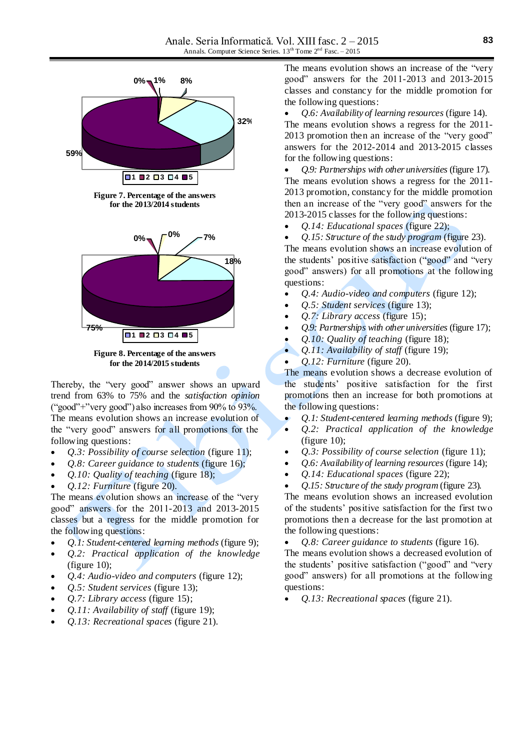

**for the 2014/2015 students**

Thereby, the "very good" answer shows an upward trend from 63% to 75% and the *satisfaction opinion* ("good"+"very good") also increases from 90% to 93%. The means evolution shows an increase evolution of the "very good" answers for all promotions for the following questions:

- *Q.3: Possibility of course selection* (figure 11);
- *Q.8: Career guidance to students* (figure 16);
- *Q.10: Quality of teaching* (figure 18);
- *Q.12: Furniture* (figure 20).

The means evolution shows an increase of the "very good" answers for the 2011-2013 and 2013-2015 classes but a regress for the middle promotion for the following questions:

- *Q.1: Student-centered learning methods* (figure 9);
- *Q.2: Practical application of the knowledge* (figure 10);
- *Q.4: Audio-video and computers* (figure 12);
- *Q.5: Student services* (figure 13);
- *Q.7: Library access* (figure 15);
- *Q.11: Availability of staff* (figure 19);
- *Q.13: Recreational spaces* (figure 21).

The means evolution shows an increase of the "very good" answers for the 2011-2013 and 2013-2015 classes and constancy for the middle promotion for the following questions:

 *Q.6: Availability of learning resources* (figure 14). The means evolution shows a regress for the 2011- 2013 promotion then an increase of the "very good" answers for the 2012-2014 and 2013-2015 classes for the following questions:

 *Q.9: Partnerships with other universities* (figure 17). The means evolution shows a regress for the 2011- 2013 promotion, constancy for the middle promotion then an increase of the "very good" answers for the 2013-2015 classes for the following questions:

*Q.14: Educational spaces* (figure 22);

 *Q.15: Structure of the study program* (figure 23). The means evolution shows an increase evolution of the students' positive satisfaction ("good" and "very good" answers) for all promotions at the following questions:

- *Q.4: Audio-video and computers* (figure 12);
- *Q.5: Student services* (figure 13);
- *Q.7: Library access* (figure 15);
- *Q.9: Partnerships with other universities* (figure 17);
- *Q.10: Quality of teaching* (figure 18);
- *Q.11: Availability of staff* (figure 19);

*Q.12: Furniture* (figure 20).

The means evolution shows a decrease evolution of the students' positive satisfaction for the first promotions then an increase for both promotions at the following questions:

- *Q.1: Student-centered learning methods* (figure 9);
- *Q.2: Practical application of the knowledge* (figure 10);
- *Q.3: Possibility of course selection* (figure 11);
- *Q.6: Availability of learning resources* (figure 14);
- *Q.14: Educational spaces* (figure 22);
- *Q.15: Structure of the study program* (figure 23).

The means evolution shows an increased evolution of the students' positive satisfaction for the first two promotions then a decrease for the last promotion at the following questions:

*Q.8: Career guidance to students* (figure 16).

The means evolution shows a decreased evolution of the students' positive satisfaction ("good" and "very good" answers) for all promotions at the following questions:

*Q.13: Recreational spaces* (figure 21).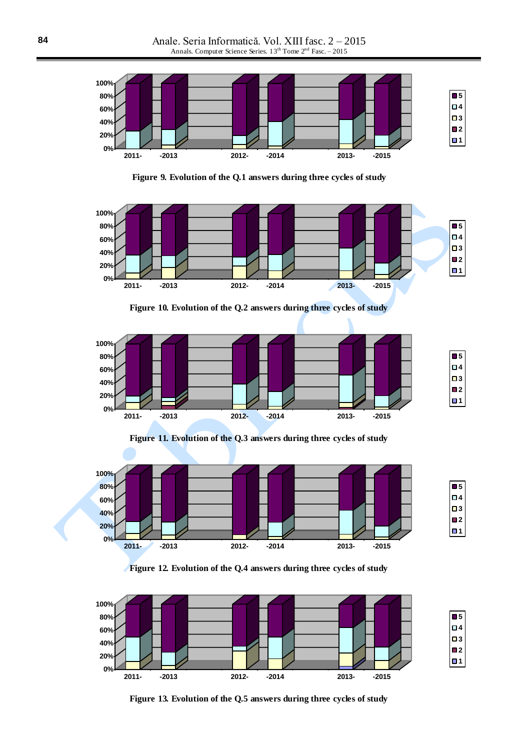

**Figure 9. Evolution of the Q.1 answers during three cycles of study**



**Figure 10. Evolution of the Q.2 answers during three cycles of study**



**Figure 11. Evolution of the Q.3 answers during three cycles of study**



**Figure 12. Evolution of the Q.4 answers during three cycles of study**



**Figure 13. Evolution of the Q.5 answers during three cycles of study**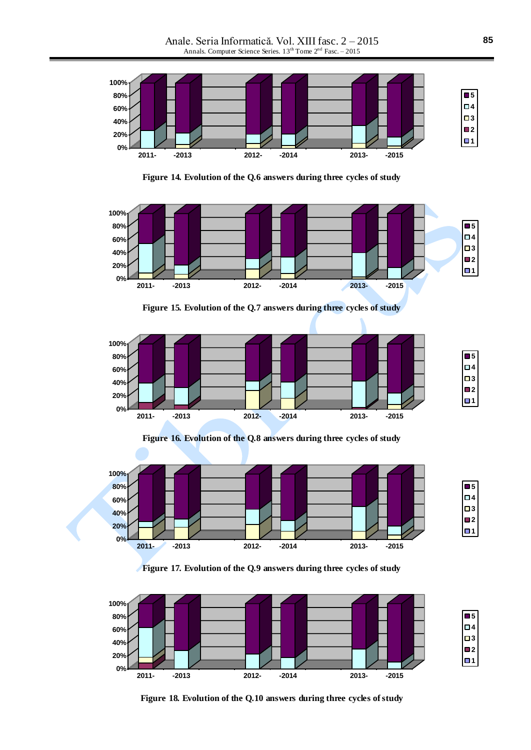Anale. Seria Informatică. Vol. XIII fasc. 2 – 2015 Annals. Computer Science Series. 13<sup>th</sup> Tome 2<sup>nd</sup> Fasc. - 2015



**Figure 14. Evolution of the Q.6 answers during three cycles of study**







**Figure 16. Evolution of the Q.8 answers during three cycles of study**



**Figure 17. Evolution of the Q.9 answers during three cycles of study**



**Figure 18. Evolution of the Q.10 answers during three cycles of study**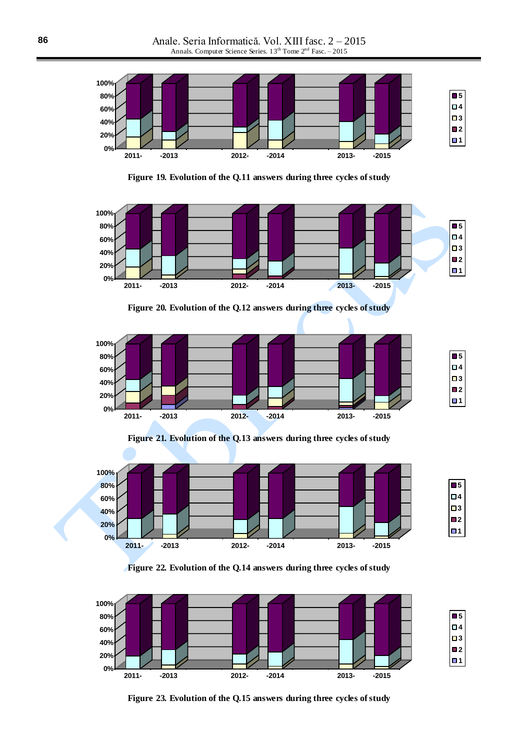

**Figure 19. Evolution of the Q.11 answers during three cycles of study**



**Figure 20. Evolution of the Q.12 answers during three cycles of study**



**Figure 21. Evolution of the Q.13 answers during three cycles of study**



**Figure 22. Evolution of the Q.14 answers during three cycles of study**



**Figure 23. Evolution of the Q.15 answers during three cycles of study**